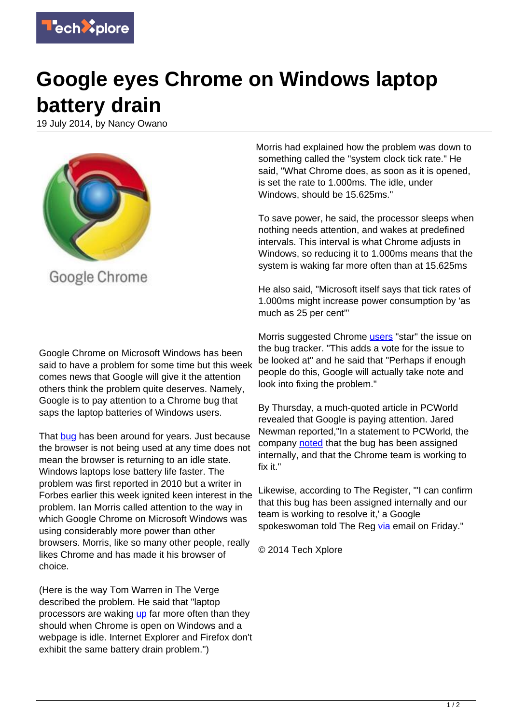

## **Google eyes Chrome on Windows laptop battery drain**

19 July 2014, by Nancy Owano



Google Chrome on Microsoft Windows has been said to have a problem for some time but this week comes news that Google will give it the attention others think the problem quite deserves. Namely, Google is to pay attention to a Chrome bug that saps the laptop batteries of Windows users.

That [bug](https://techxplore.com/tags/bug/) has been around for years. Just because the browser is not being used at any time does not mean the browser is returning to an idle state. Windows laptops lose battery life faster. The problem was first reported in 2010 but a writer in Forbes earlier this week ignited keen interest in the problem. Ian Morris called attention to the way in which Google Chrome on Microsoft Windows was using considerably more power than other browsers. Morris, like so many other people, really likes Chrome and has made it his browser of choice.

(Here is the way Tom Warren in The Verge described the problem. He said that "laptop processors are waking [up](http://www.theverge.com/2014/7/18/5914975/google-chrome-windows-laptop-battery-drain-fix) far more often than they should when Chrome is open on Windows and a webpage is idle. Internet Explorer and Firefox don't exhibit the same battery drain problem.")

Morris had explained how the problem was down to something called the "system clock tick rate." He said, "What Chrome does, as soon as it is opened, is set the rate to 1.000ms. The idle, under Windows, should be 15.625ms."

To save power, he said, the processor sleeps when nothing needs attention, and wakes at predefined intervals. This interval is what Chrome adjusts in Windows, so reducing it to 1.000ms means that the system is waking far more often than at 15.625ms

He also said, "Microsoft itself says that tick rates of 1.000ms might increase power consumption by 'as much as 25 per cent'"

Morris suggested Chrome **users** "star" the issue on the bug tracker. "This adds a vote for the issue to be looked at" and he said that "Perhaps if enough people do this, Google will actually take note and look into fixing the problem."

By Thursday, a much-quoted article in PCWorld revealed that Google is paying attention. Jared Newman reported,"In a statement to PCWorld, the company [noted](http://www.pcworld.com/article/2455442/chromes-been-eating-your-laptops-battery-for-years-but-google-promises-to-fix-it.html) that the bug has been assigned internally, and that the Chrome team is working to fix it."

Likewise, according to The Register, "'I can confirm that this bug has been assigned internally and our team is working to resolve it,' a Google spokeswoman told The Reg [via](http://www.theregister.co.uk/2014/07/19/chrome_power_sucking_bug/) email on Friday."

© 2014 Tech Xplore